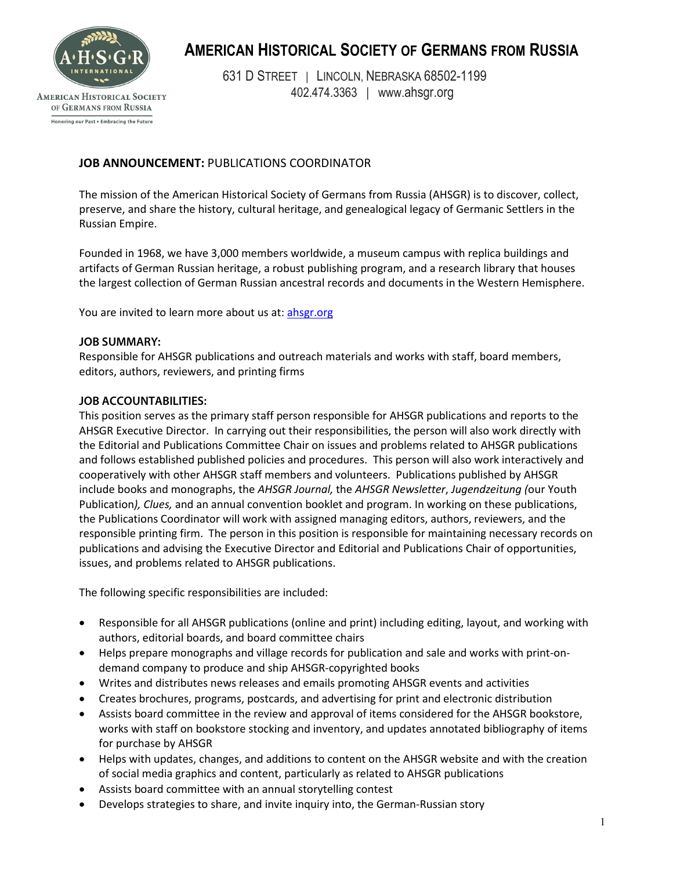

# **AMERICAN HISTORICAL SOCIETY OF GERMANS FROM RUSSIA**

631 D STREET | LINCOLN, NEBRASKA 68502-1199 402.474.3363 | www.ahsgr.org

**AMERICAN HISTORICAL SOCIETY** OF GERMANS FROM RUSSIA Honoring our Past . Embracing the Future

## **JOB ANNOUNCEMENT:** PUBLICATIONS COORDINATOR

The mission of the American Historical Society of Germans from Russia (AHSGR) is to discover, collect, preserve, and share the history, cultural heritage, and genealogical legacy of Germanic Settlers in the Russian Empire.

Founded in 1968, we have 3,000 members worldwide, a museum campus with replica buildings and artifacts of German Russian heritage, a robust publishing program, and a research library that houses the largest collection of German Russian ancestral records and documents in the Western Hemisphere.

You are invited to learn more about us at: [ahsgr.org](https://ahsgr.org/)

### **JOB SUMMARY:**

Responsible for AHSGR publications and outreach materials and works with staff, board members, editors, authors, reviewers, and printing firms

#### **JOB ACCOUNTABILITIES:**

This position serves as the primary staff person responsible for AHSGR publications and reports to the AHSGR Executive Director. In carrying out their responsibilities, the person will also work directly with the Editorial and Publications Committee Chair on issues and problems related to AHSGR publications and follows established published policies and procedures. This person will also work interactively and cooperatively with other AHSGR staff members and volunteers. Publications published by AHSGR include books and monographs, the *AHSGR Journal,* the *AHSGR Newsletter*, *Jugendzeitung (*our Youth Publication*), Clues,* and an annual convention booklet and program. In working on these publications, the Publications Coordinator will work with assigned managing editors, authors, reviewers, and the responsible printing firm. The person in this position is responsible for maintaining necessary records on publications and advising the Executive Director and Editorial and Publications Chair of opportunities, issues, and problems related to AHSGR publications.

The following specific responsibilities are included:

- Responsible for all AHSGR publications (online and print) including editing, layout, and working with authors, editorial boards, and board committee chairs
- Helps prepare monographs and village records for publication and sale and works with print-ondemand company to produce and ship AHSGR-copyrighted books
- Writes and distributes news releases and emails promoting AHSGR events and activities
- Creates brochures, programs, postcards, and advertising for print and electronic distribution
- Assists board committee in the review and approval of items considered for the AHSGR bookstore, works with staff on bookstore stocking and inventory, and updates annotated bibliography of items for purchase by AHSGR
- Helps with updates, changes, and additions to content on the AHSGR website and with the creation of social media graphics and content, particularly as related to AHSGR publications
- Assists board committee with an annual storytelling contest
- Develops strategies to share, and invite inquiry into, the German-Russian story